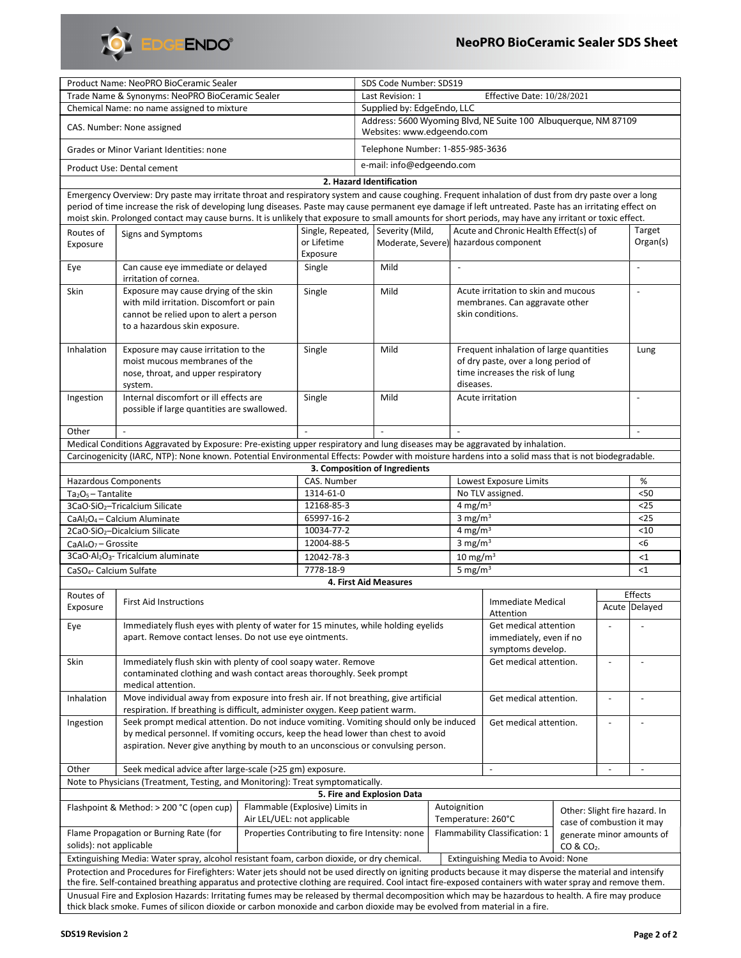

|                                                                                                                                                                                                                                                                                                                   | Product Name: NeoPRO BioCeramic Sealer                                                                                                                                                                            |        |                                                 | SDS Code Number: SDS19                                                                       |                                  |                                       |                                         |                                                     |                           |                          |                          |
|-------------------------------------------------------------------------------------------------------------------------------------------------------------------------------------------------------------------------------------------------------------------------------------------------------------------|-------------------------------------------------------------------------------------------------------------------------------------------------------------------------------------------------------------------|--------|-------------------------------------------------|----------------------------------------------------------------------------------------------|----------------------------------|---------------------------------------|-----------------------------------------|-----------------------------------------------------|---------------------------|--------------------------|--------------------------|
| Trade Name & Synonyms: NeoPRO BioCeramic Sealer                                                                                                                                                                                                                                                                   |                                                                                                                                                                                                                   |        |                                                 | Last Revision: 1<br>Effective Date: 10/28/2021                                               |                                  |                                       |                                         |                                                     |                           |                          |                          |
| Chemical Name: no name assigned to mixture                                                                                                                                                                                                                                                                        |                                                                                                                                                                                                                   |        |                                                 | Supplied by: EdgeEndo, LLC                                                                   |                                  |                                       |                                         |                                                     |                           |                          |                          |
| CAS. Number: None assigned                                                                                                                                                                                                                                                                                        |                                                                                                                                                                                                                   |        |                                                 | Address: 5600 Wyoming Blvd, NE Suite 100 Albuquerque, NM 87109<br>Websites: www.edgeendo.com |                                  |                                       |                                         |                                                     |                           |                          |                          |
| <b>Grades or Minor Variant Identities: none</b>                                                                                                                                                                                                                                                                   |                                                                                                                                                                                                                   |        |                                                 |                                                                                              | Telephone Number: 1-855-985-3636 |                                       |                                         |                                                     |                           |                          |                          |
| Product Use: Dental cement                                                                                                                                                                                                                                                                                        |                                                                                                                                                                                                                   |        |                                                 |                                                                                              | e-mail: info@edgeendo.com        |                                       |                                         |                                                     |                           |                          |                          |
|                                                                                                                                                                                                                                                                                                                   |                                                                                                                                                                                                                   |        |                                                 |                                                                                              | 2. Hazard Identification         |                                       |                                         |                                                     |                           |                          |                          |
| Emergency Overview: Dry paste may irritate throat and respiratory system and cause coughing. Frequent inhalation of dust from dry paste over a long                                                                                                                                                               |                                                                                                                                                                                                                   |        |                                                 |                                                                                              |                                  |                                       |                                         |                                                     |                           |                          |                          |
| period of time increase the risk of developing lung diseases. Paste may cause permanent eye damage if left untreated. Paste has an irritating effect on<br>moist skin. Prolonged contact may cause burns. It is unlikely that exposure to small amounts for short periods, may have any irritant or toxic effect. |                                                                                                                                                                                                                   |        |                                                 |                                                                                              |                                  |                                       |                                         |                                                     |                           |                          |                          |
| Routes of                                                                                                                                                                                                                                                                                                         | Signs and Symptoms                                                                                                                                                                                                |        | Single, Repeated,                               |                                                                                              | Severity (Mild,                  |                                       |                                         | Acute and Chronic Health Effect(s) of               |                           |                          | Target                   |
| Exposure                                                                                                                                                                                                                                                                                                          |                                                                                                                                                                                                                   |        | or Lifetime<br>Exposure                         |                                                                                              |                                  | Moderate, Severe) hazardous component |                                         |                                                     |                           | Organ(s)                 |                          |
| Eye                                                                                                                                                                                                                                                                                                               | Can cause eye immediate or delayed<br>irritation of cornea.                                                                                                                                                       |        | Mild<br>Single                                  |                                                                                              | $\frac{1}{2}$                    |                                       |                                         |                                                     |                           | $\ddot{\phantom{a}}$     |                          |
| Skin                                                                                                                                                                                                                                                                                                              | Exposure may cause drying of the skin                                                                                                                                                                             |        | Single                                          |                                                                                              | Mild                             |                                       | Acute irritation to skin and mucous     |                                                     |                           |                          |                          |
|                                                                                                                                                                                                                                                                                                                   | with mild irritation. Discomfort or pain                                                                                                                                                                          |        |                                                 |                                                                                              |                                  |                                       | membranes. Can aggravate other          |                                                     |                           |                          |                          |
|                                                                                                                                                                                                                                                                                                                   | cannot be relied upon to alert a person                                                                                                                                                                           |        |                                                 |                                                                                              |                                  |                                       | skin conditions.                        |                                                     |                           |                          |                          |
|                                                                                                                                                                                                                                                                                                                   | to a hazardous skin exposure.                                                                                                                                                                                     |        |                                                 |                                                                                              |                                  |                                       |                                         |                                                     |                           |                          |                          |
|                                                                                                                                                                                                                                                                                                                   |                                                                                                                                                                                                                   |        |                                                 |                                                                                              |                                  |                                       |                                         |                                                     |                           |                          | Lung                     |
| Inhalation                                                                                                                                                                                                                                                                                                        | Exposure may cause irritation to the                                                                                                                                                                              |        | Single                                          | Mild                                                                                         |                                  |                                       | Frequent inhalation of large quantities |                                                     |                           |                          |                          |
|                                                                                                                                                                                                                                                                                                                   | moist mucous membranes of the                                                                                                                                                                                     |        |                                                 |                                                                                              |                                  |                                       |                                         | of dry paste, over a long period of                 |                           |                          |                          |
|                                                                                                                                                                                                                                                                                                                   | nose, throat, and upper respiratory                                                                                                                                                                               |        |                                                 |                                                                                              |                                  | diseases.                             |                                         | time increases the risk of lung                     |                           |                          |                          |
|                                                                                                                                                                                                                                                                                                                   | system.<br>Internal discomfort or ill effects are                                                                                                                                                                 |        |                                                 |                                                                                              |                                  |                                       |                                         |                                                     |                           |                          | $\blacksquare$           |
| Ingestion                                                                                                                                                                                                                                                                                                         | possible if large quantities are swallowed.                                                                                                                                                                       | Single |                                                 |                                                                                              | Mild                             |                                       |                                         | Acute irritation                                    |                           |                          |                          |
| Other                                                                                                                                                                                                                                                                                                             |                                                                                                                                                                                                                   |        |                                                 |                                                                                              |                                  |                                       |                                         |                                                     |                           |                          | $\overline{\phantom{a}}$ |
| Medical Conditions Aggravated by Exposure: Pre-existing upper respiratory and lung diseases may be aggravated by inhalation.                                                                                                                                                                                      |                                                                                                                                                                                                                   |        |                                                 |                                                                                              |                                  |                                       |                                         |                                                     |                           |                          |                          |
|                                                                                                                                                                                                                                                                                                                   |                                                                                                                                                                                                                   |        |                                                 |                                                                                              |                                  |                                       |                                         |                                                     |                           |                          |                          |
| Carcinogenicity (IARC, NTP): None known. Potential Environmental Effects: Powder with moisture hardens into a solid mass that is not biodegradable.<br>3. Composition of Ingredients                                                                                                                              |                                                                                                                                                                                                                   |        |                                                 |                                                                                              |                                  |                                       |                                         |                                                     |                           |                          |                          |
| <b>Hazardous Components</b><br>CAS. Number<br>Lowest Exposure Limits<br>%                                                                                                                                                                                                                                         |                                                                                                                                                                                                                   |        |                                                 |                                                                                              |                                  |                                       |                                         |                                                     |                           |                          |                          |
| $Ta2O5 - Tantalite$                                                                                                                                                                                                                                                                                               |                                                                                                                                                                                                                   |        | 1314-61-0                                       |                                                                                              |                                  |                                       | No TLV assigned.                        |                                                     |                           |                          | $50$                     |
|                                                                                                                                                                                                                                                                                                                   | 3CaO·SiO <sub>2</sub> -Tricalcium Silicate                                                                                                                                                                        |        | 12168-85-3                                      |                                                                                              |                                  |                                       | 4 mg/m $3$                              |                                                     |                           |                          | $25$                     |
| CaAl <sub>2</sub> O <sub>4</sub> - Calcium Aluminate                                                                                                                                                                                                                                                              |                                                                                                                                                                                                                   |        | 65997-16-2                                      |                                                                                              |                                  |                                       | 3 mg/m $3$                              |                                                     |                           |                          | $25$                     |
| 2CaO·SiO <sub>2</sub> -Dicalcium Silicate                                                                                                                                                                                                                                                                         |                                                                                                                                                                                                                   |        | 10034-77-2                                      |                                                                                              |                                  |                                       | 4 mg/m $3$                              |                                                     |                           |                          | < 10                     |
| CaAl <sub>4</sub> O <sub>7</sub> - Grossite                                                                                                                                                                                                                                                                       |                                                                                                                                                                                                                   |        | 12004-88-5                                      |                                                                                              |                                  |                                       | 3 mg/ $m3$                              |                                                     |                           |                          | <6                       |
| 3CaO·Al2O <sub>3</sub> -Tricalcium aluminate                                                                                                                                                                                                                                                                      |                                                                                                                                                                                                                   |        | 12042-78-3                                      |                                                                                              |                                  |                                       | $10 \text{ mg/m}^3$                     |                                                     |                           |                          | <1                       |
| CaSO <sub>4</sub> - Calcium Sulfate                                                                                                                                                                                                                                                                               |                                                                                                                                                                                                                   |        | 7778-18-9                                       |                                                                                              |                                  |                                       | 5 mg/m $3$                              |                                                     |                           |                          | <1                       |
|                                                                                                                                                                                                                                                                                                                   |                                                                                                                                                                                                                   |        |                                                 |                                                                                              | 4. First Aid Measures            |                                       |                                         |                                                     |                           |                          |                          |
| Routes of                                                                                                                                                                                                                                                                                                         |                                                                                                                                                                                                                   |        |                                                 |                                                                                              |                                  |                                       |                                         |                                                     |                           |                          | Effects                  |
| Exposure                                                                                                                                                                                                                                                                                                          | <b>First Aid Instructions</b>                                                                                                                                                                                     |        |                                                 |                                                                                              |                                  |                                       |                                         | <b>Immediate Medical</b><br>Attention               |                           | $\overline{\phantom{a}}$ | Acute Delayed            |
| Immediately flush eyes with plenty of water for 15 minutes, while holding eyelids<br>Eye<br>apart. Remove contact lenses. Do not use eye ointments.                                                                                                                                                               |                                                                                                                                                                                                                   |        |                                                 |                                                                                              |                                  |                                       |                                         | Get medical attention<br>immediately, even if no    |                           |                          |                          |
|                                                                                                                                                                                                                                                                                                                   |                                                                                                                                                                                                                   |        |                                                 |                                                                                              |                                  |                                       |                                         | symptoms develop.                                   |                           |                          |                          |
|                                                                                                                                                                                                                                                                                                                   | Immediately flush skin with plenty of cool soapy water. Remove<br>Skin<br>Get medical attention.<br>contaminated clothing and wash contact areas thoroughly. Seek prompt<br>medical attention.                    |        |                                                 |                                                                                              |                                  |                                       | $\overline{a}$                          |                                                     |                           |                          |                          |
| Inhalation                                                                                                                                                                                                                                                                                                        | Move individual away from exposure into fresh air. If not breathing, give artificial<br>Get medical attention.<br>$\blacksquare$<br>respiration. If breathing is difficult, administer oxygen. Keep patient warm. |        |                                                 |                                                                                              |                                  |                                       |                                         | ÷,                                                  |                           |                          |                          |
| Ingestion                                                                                                                                                                                                                                                                                                         | Seek prompt medical attention. Do not induce vomiting. Vomiting should only be induced<br>Get medical attention.<br>$\sim$<br>$\overline{a}$                                                                      |        |                                                 |                                                                                              |                                  |                                       |                                         |                                                     |                           |                          |                          |
| by medical personnel. If vomiting occurs, keep the head lower than chest to avoid<br>aspiration. Never give anything by mouth to an unconscious or convulsing person.                                                                                                                                             |                                                                                                                                                                                                                   |        |                                                 |                                                                                              |                                  |                                       |                                         |                                                     |                           |                          |                          |
| Other                                                                                                                                                                                                                                                                                                             | Seek medical advice after large-scale (>25 gm) exposure.<br>$\overline{\phantom{a}}$<br>$\blacksquare$                                                                                                            |        |                                                 |                                                                                              |                                  |                                       |                                         |                                                     | $\overline{\phantom{a}}$  |                          |                          |
| Note to Physicians (Treatment, Testing, and Monitoring): Treat symptomatically.                                                                                                                                                                                                                                   |                                                                                                                                                                                                                   |        |                                                 |                                                                                              |                                  |                                       |                                         |                                                     |                           |                          |                          |
| 5. Fire and Explosion Data                                                                                                                                                                                                                                                                                        |                                                                                                                                                                                                                   |        |                                                 |                                                                                              |                                  |                                       |                                         |                                                     |                           |                          |                          |
| Flammable (Explosive) Limits in<br>Flashpoint & Method: > 200 °C (open cup)<br>Autoignition<br>Other: Slight fire hazard. In                                                                                                                                                                                      |                                                                                                                                                                                                                   |        |                                                 |                                                                                              |                                  |                                       |                                         |                                                     |                           |                          |                          |
| Air LEL/UEL: not applicable                                                                                                                                                                                                                                                                                       |                                                                                                                                                                                                                   |        |                                                 |                                                                                              | Temperature: 260°C               |                                       |                                         |                                                     | case of combustion it may |                          |                          |
| Flame Propagation or Burning Rate (for<br>solids): not applicable                                                                                                                                                                                                                                                 |                                                                                                                                                                                                                   |        | Properties Contributing to fire Intensity: none |                                                                                              |                                  | Flammability Classification: 1        |                                         | generate minor amounts of<br>CO & CO <sub>2</sub> . |                           |                          |                          |
|                                                                                                                                                                                                                                                                                                                   | Extinguishing Media: Water spray, alcohol resistant foam, carbon dioxide, or dry chemical.                                                                                                                        |        |                                                 |                                                                                              |                                  |                                       |                                         | Extinguishing Media to Avoid: None                  |                           |                          |                          |
|                                                                                                                                                                                                                                                                                                                   | Protection and Procedures for Firefighters: Water jets should not be used directly on igniting products because it may disperse the material and intensify                                                        |        |                                                 |                                                                                              |                                  |                                       |                                         |                                                     |                           |                          |                          |
|                                                                                                                                                                                                                                                                                                                   | the fire. Self-contained breathing apparatus and protective clothing are required. Cool intact fire-exposed containers with water spray and remove them.                                                          |        |                                                 |                                                                                              |                                  |                                       |                                         |                                                     |                           |                          |                          |
|                                                                                                                                                                                                                                                                                                                   |                                                                                                                                                                                                                   |        |                                                 |                                                                                              |                                  |                                       |                                         |                                                     |                           |                          |                          |
| Unusual Fire and Explosion Hazards: Irritating fumes may be released by thermal decomposition which may be hazardous to health. A fire may produce<br>thick black smoke. Fumes of silicon dioxide or carbon monoxide and carbon dioxide may be evolved from material in a fire.                                   |                                                                                                                                                                                                                   |        |                                                 |                                                                                              |                                  |                                       |                                         |                                                     |                           |                          |                          |